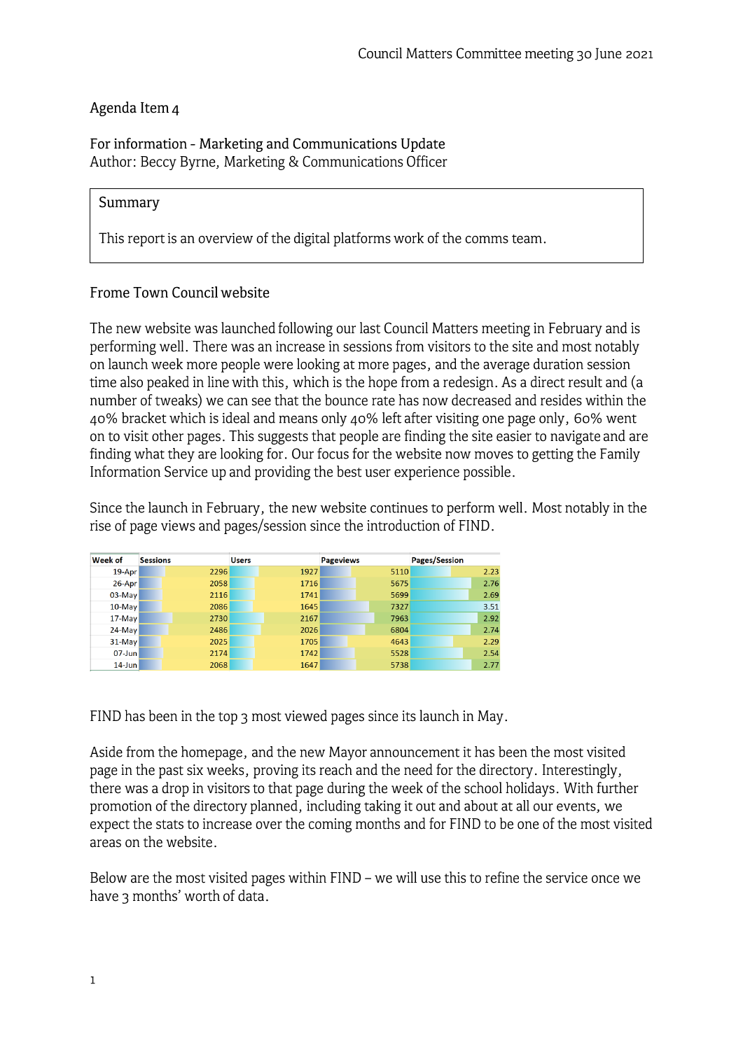# Agenda Item 4

For information - Marketing and Communications Update Author: Beccy Byrne, Marketing & Communications Officer

### **Summary**

This report is an overview of the digital platforms work of the comms team.

## Frome Town Council website

The new website was launched following our last Council Matters meeting in February and is performing well. There was an increase in sessions from visitors to the site and most notably on launch week more people were looking at more pages, and the average duration session time also peaked in line with this, which is the hope from a redesign. As a direct result and (a number of tweaks) we can see that the bounce rate has now decreased and resides within the 40% bracket which is ideal and means only 40% left after visiting one page only, 60% went on to visit other pages. This suggests that people are finding the site easier to navigate and are finding what they are looking for. Our focus for the website now moves to getting the Family Information Service up and providing the best user experience possible.

Since the launch in February, the new website continues to perform well. Most notably in the rise of page views and pages/session since the introduction of FIND.

| Week of    | <b>Sessions</b> | <b>Users</b> | <b>Pageviews</b> | Pages/Session |
|------------|-----------------|--------------|------------------|---------------|
| 19-Apr     | 2296            | 1927         | 5110             | 2.23          |
| 26-Apr     | 2058            | 1716         | 5675             | 2.76          |
| $03$ -May  | 2116            | 1741         | 5699             | 2.69          |
| $10$ -May  | 2086            | 1645         | 7327             | 3.51          |
| $17$ -May  | 2730            | 2167         | 7963             | 2.92          |
| $24$ -May  | 2486            | 2026         | 6804             | 2.74          |
| $31$ -May  | 2025            | 1705         | 4643             | 2.29          |
| $07 - Jun$ | 2174            | 1742         | 5528             | 2.54          |
| $14$ -Jun  | 2068            | 1647         | 5738             | 2.77          |

FIND has been in the top 3 most viewed pages since its launch in May.

Aside from the homepage, and the new Mayor announcement it has been the most visited page in the past six weeks, proving its reach and the need for the directory. Interestingly, there was a drop in visitors to that page during the week of the school holidays. With further promotion of the directory planned, including taking it out and about at all our events, we expect the stats to increase over the coming months and for FIND to be one of the most visited areas on the website.

Below are the most visited pages within FIND - we will use this to refine the service once we have 3 months' worth of data.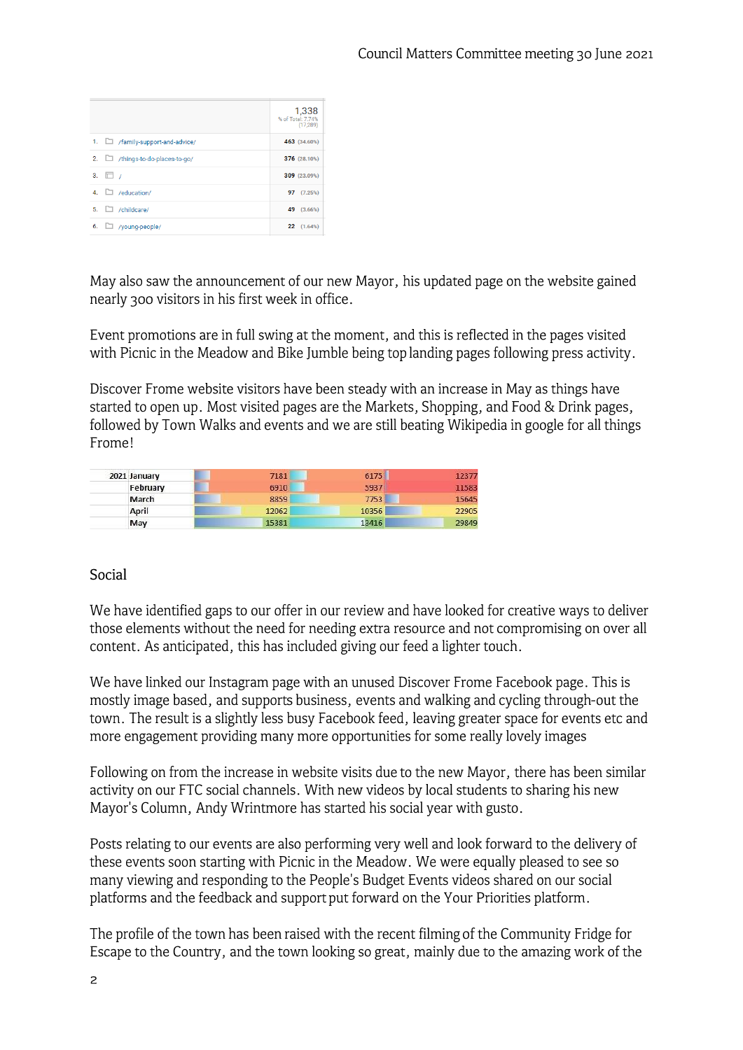| 1,338<br>% of Total: 7.74%<br>(17, 289)                               |
|-----------------------------------------------------------------------|
|                                                                       |
| 463 (34.60%)                                                          |
|                                                                       |
|                                                                       |
|                                                                       |
|                                                                       |
|                                                                       |
| 376 (28.10%)<br>309 (23.09%)<br>97 (7.25%)<br>49 (3.66%)<br>22(1.64%) |

May also saw the announcement of our new Mayor, his updated page on the website gained nearly 300 visitors in his first week in office.

Event promotions are in full swing at the moment, and this is reflected in the pages visited with Picnic in the Meadow and Bike Jumble being top landing pages following press activity.

Discover Frome website visitors have been steady with an increase in May as things have started to open up. Most visited pages are the Markets, Shopping, and Food & Drink pages, followed by Town Walks and events and we are still beating Wikipedia in google for all things Frame!

| 2021 January | 7181  | 6175  | 12377 |
|--------------|-------|-------|-------|
| February     | 6910  | 5937  | 11583 |
| March        | 8859  | 7753  | 15645 |
| April        | 12062 | 10356 | 22905 |
| May          | 15381 | 13416 | 29849 |

### Social

We have identified gaps to our offer in our review and have looked for creative ways to deliver those elements without the need for needing extra resource and not compromising on over all content. As anticipated, this has included giving our feed a lighter touch.

We have linked our Instagram page with an unused Discover Frome Facebook page. This is mostly image based, and supports business, events and walking and cycling through-out the town. The result is a slightly less busy Facebook feed, leaving greater space for events etc and more engagement providing many more opportunities for some really lovely images

Following on from the increase in website visits due to the new Mayor, there has been similar activity on our FTC social channels. With new videos by local students to sharing his new Mayor's Column, Andy Wrintmore has started his social year with gusto.

Posts relating to our events are also performing very well and look forward to the delivery of these events soon starting with Picnic in the Meadow. We were equally pleased to see so many viewing and responding to the People's Budget Events videos shared on our social platforms and the feedback and support put forward on the Your Priorities platform.

The profile of the town has been raised with the recent filming of the Community Fridge for Escape to the Country, and the town looking so great, mainly due to the amazing work of the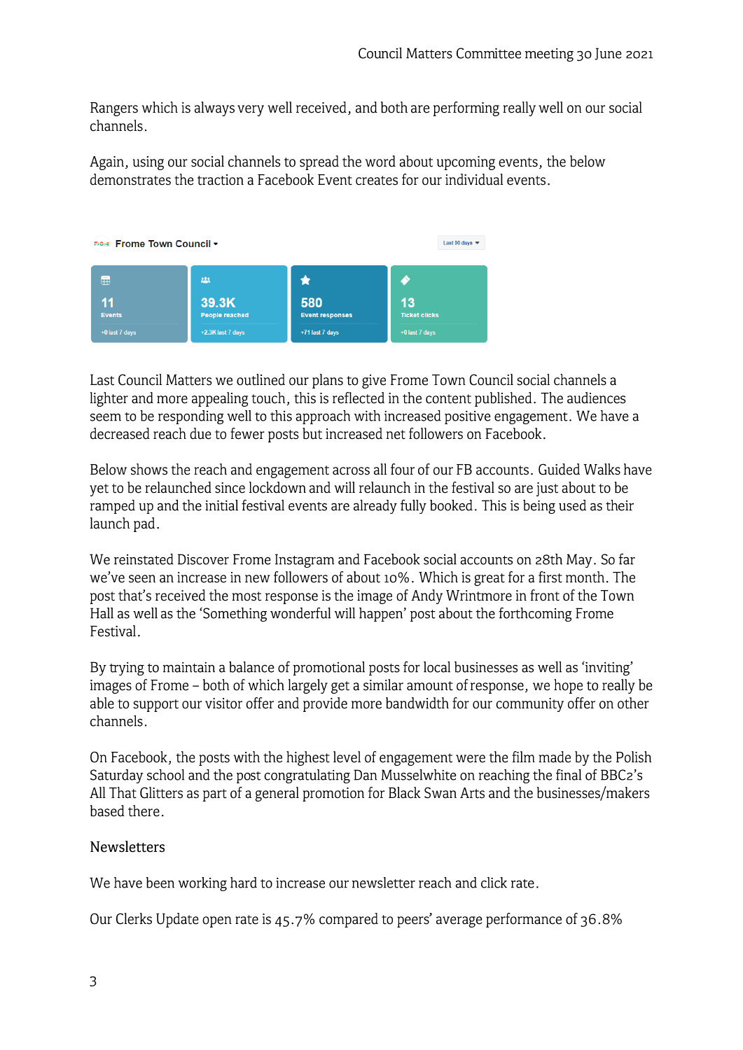Rangers which is always very well received, and both are performing really well on our social channels.

Again, using our social channels to spread the word about upcoming events, the below demonstrates the traction a Facebook Event creates for our individual events.



Last Council Matters we outlined our plans to give Frome Town Council social channels a lighter and more appealing touch, this is reflected in the content published. The audiences seem to be responding well to this approach with increased positive engagement. We have a decreased reach due to fewer posts but increased net followers on Facebook.

Below shows the reach and engagement across all four of our FB accounts. Guided Walks have yet to be relaunched since lockdown and will relaunch in the festival so are just about to be ramped up and the initial festival events are already fully booked. This is being used as their launch pad.

We reinstated Discover Frome Instagram and Facebook social accounts on 28th May. So far we've seen an increase in new followers of about 10% . Which is great for a first month. The post that's received the most response is the image of Andy Wrintmore in front of the Town Hall as well as the 'Something wonderful will happen' post about the forthcoming Frome Festival.

By trying to maintain a balance of promotional posts for local businesses as well as 'inviting' images of Frome - both of which largely get a similar amount of response, we hope to really be able to support our visitor offer and provide more bandwidth for our community offer on other channels.

On Facebook, the posts with the highest level of engagement were the film made by the Polish Saturday school and the post congratulating Dan Musselwhite on reaching the final of BBC2's All That Glitters as part of a general promotion for Black Swan Arts and the businesses/makers based there.

### Newsletters

We have been working hard to increase our newsletter reach and click rate.

Our Clerks Update open rate is 45. 7% compared to peers' average performance of 36. 8%